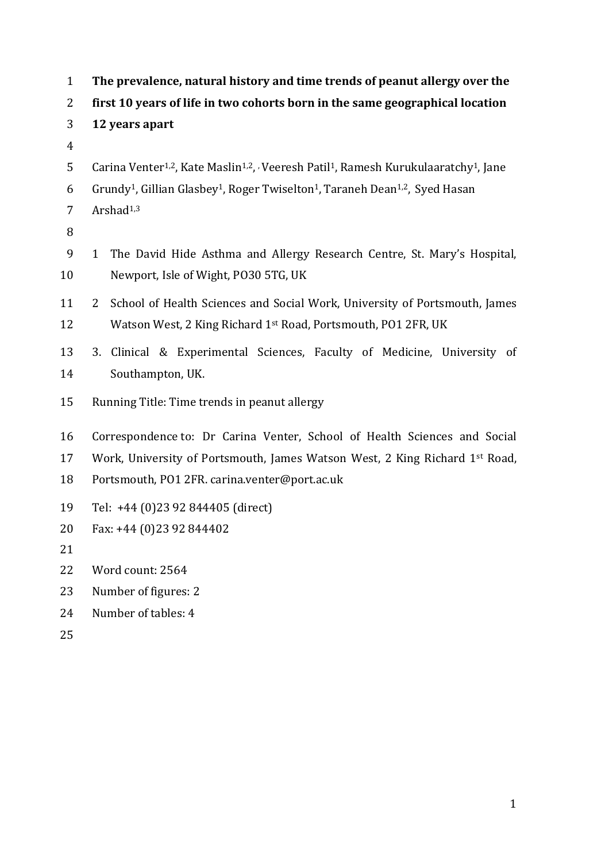| $\mathbf{1}$   | The prevalence, natural history and time trends of peanut allergy over the                                                          |
|----------------|-------------------------------------------------------------------------------------------------------------------------------------|
| 2              | first 10 years of life in two cohorts born in the same geographical location                                                        |
| 3              | 12 years apart                                                                                                                      |
| $\overline{4}$ |                                                                                                                                     |
| 5              | Carina Venter <sup>1,2</sup> , Kate Maslin <sup>1,2</sup> , Veeresh Patil <sup>1</sup> , Ramesh Kurukulaaratchy <sup>1</sup> , Jane |
| 6              | Grundy <sup>1</sup> , Gillian Glasbey <sup>1</sup> , Roger Twiselton <sup>1</sup> , Taraneh Dean <sup>1,2</sup> , Syed Hasan        |
| 7              | Arshad <sup>1,3</sup>                                                                                                               |
| 8              |                                                                                                                                     |
| 9              | The David Hide Asthma and Allergy Research Centre, St. Mary's Hospital,<br>$\mathbf{1}$                                             |
| 10             | Newport, Isle of Wight, PO30 5TG, UK                                                                                                |
| 11             | School of Health Sciences and Social Work, University of Portsmouth, James<br>2                                                     |
| 12             | Watson West, 2 King Richard 1st Road, Portsmouth, PO1 2FR, UK                                                                       |
| 13             | Clinical & Experimental Sciences, Faculty of Medicine, University of<br>3.                                                          |
| 14             | Southampton, UK.                                                                                                                    |
| 15             | Running Title: Time trends in peanut allergy                                                                                        |
| 16             | Correspondence to: Dr Carina Venter, School of Health Sciences and Social                                                           |
| 17             | Work, University of Portsmouth, James Watson West, 2 King Richard 1st Road,                                                         |
| 18             | Portsmouth, PO1 2FR. carina.venter@port.ac.uk                                                                                       |
| 19             | Tel: +44 (0)23 92 844405 (direct)                                                                                                   |
| 20             | Fax: +44 (0)23 92 844402                                                                                                            |
| 21             |                                                                                                                                     |
| 22             | Word count: 2564                                                                                                                    |
| 23             | Number of figures: 2                                                                                                                |
| 24             | Number of tables: 4                                                                                                                 |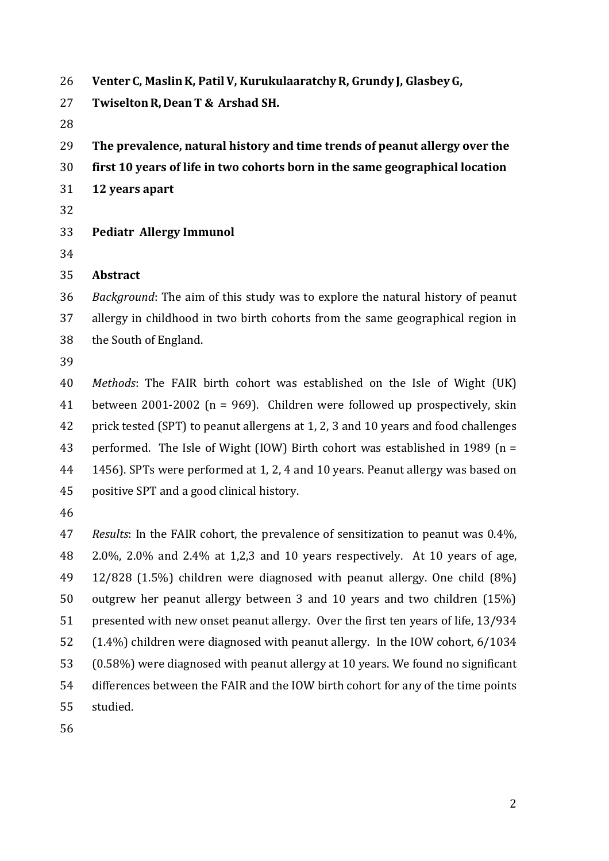- **Venter C, MaslinK, PatilV, KurukulaaratchyR, Grundy J, GlasbeyG,**
- **TwiseltonR, DeanT & Arshad SH.**
- 
- **The prevalence, natural history and time trends of peanut allergy over the**
- **first 10 years of life in two cohorts born in the same geographical location**
- **12 years apart**
- 
- **Pediatr Allergy Immunol**
- 

### **Abstract**

 *Background*: The aim of this study was to explore the natural history of peanut allergy in childhood in two birth cohorts from the same geographical region in the South of England.

 *Methods*: The FAIR birth cohort was established on the Isle of Wight (UK) between 2001-2002 (n = 969). Children were followed up prospectively, skin prick tested (SPT) to peanut allergens at 1, 2, 3 and 10 years and food challenges performed. The Isle of Wight (IOW) Birth cohort was established in 1989 (n = 1456). SPTs were performed at 1, 2, 4 and 10 years. Peanut allergy was based on positive SPT and a good clinical history.

 *Results*: In the FAIR cohort, the prevalence of sensitization to peanut was 0.4%, 2.0%, 2.0% and 2.4% at 1,2,3 and 10 years respectively. At 10 years of age, 12/828 (1.5%) children were diagnosed with peanut allergy. One child (8%) outgrew her peanut allergy between 3 and 10 years and two children (15%) presented with new onset peanut allergy. Over the first ten years of life, 13/934 (1.4%) children were diagnosed with peanut allergy. In the IOW cohort, 6/1034 (0.58%) were diagnosed with peanut allergy at 10 years. We found no significant differences between the FAIR and the IOW birth cohort for any of the time points studied.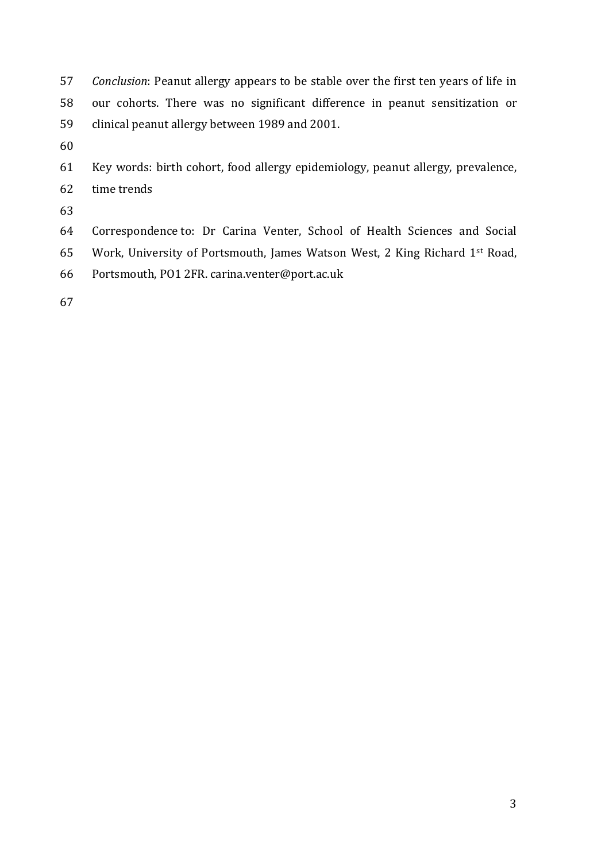- *Conclusion*: Peanut allergy appears to be stable over the first ten years of life in our cohorts. There was no significant difference in peanut sensitization or clinical peanut allergy between 1989 and 2001.
- 
- Key words: birth cohort, food allergy epidemiology, peanut allergy, prevalence, time trends
- 
- Correspondence to: Dr Carina Venter, School of Health Sciences and Social Work, University of Portsmouth, James Watson West, 2 King Richard 1st Road, Portsmouth, PO1 2FR. carina.venter@port.ac.uk
-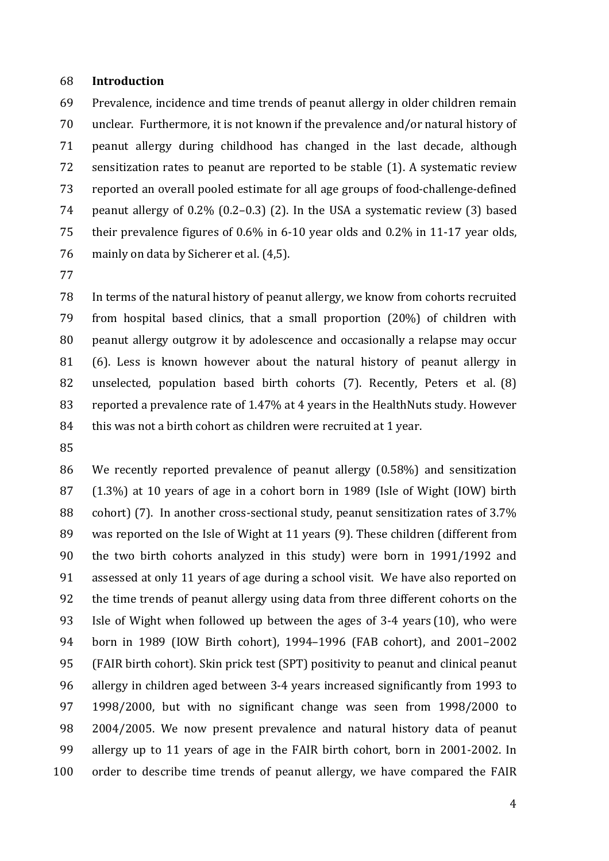### **Introduction**

 Prevalence, incidence and time trends of peanut allergy in older children remain unclear. Furthermore, it is not known if the prevalence and/or natural history of peanut allergy during childhood has changed in the last decade, although sensitization rates to peanut are reported to be stable (1). A systematic review reported an overall pooled estimate for all age groups of food-challenge-defined peanut allergy of 0.2% (0.2–0.3) (2). In the USA a systematic review (3) based their prevalence figures of 0.6% in 6-10 year olds and 0.2% in 11-17 year olds, mainly on data by Sicherer et al. (4,5).

 In terms of the natural history of peanut allergy, we know from cohorts recruited from hospital based clinics, that a small proportion (20%) of children with peanut allergy outgrow it by adolescence and occasionally a relapse may occur (6). Less is known however about the natural history of peanut allergy in unselected, population based birth cohorts (7). Recently, Peters et al. (8) reported a prevalence rate of 1.47% at 4 years in the HealthNuts study. However 84 this was not a birth cohort as children were recruited at 1 year.

 We recently reported prevalence of peanut allergy (0.58%) and sensitization (1.3%) at 10 years of age in a cohort born in 1989 (Isle of Wight (IOW) birth cohort) (7). In another cross-sectional study, peanut sensitization rates of 3.7% was reported on the Isle of Wight at 11 years (9). These children (different from the two birth cohorts analyzed in this study) were born in 1991/1992 and assessed at only 11 years of age during a school visit. We have also reported on the time trends of peanut allergy using data from three different cohorts on the Isle of Wight when followed up between the ages of 3-4 years (10), who were born in 1989 (IOW Birth cohort), 1994–1996 (FAB cohort), and 2001–2002 (FAIR birth cohort). Skin prick test (SPT) positivity to peanut and clinical peanut allergy in children aged between 3-4 years increased significantly from 1993 to 1998/2000, but with no significant change was seen from 1998/2000 to 2004/2005. We now present prevalence and natural history data of peanut allergy up to 11 years of age in the FAIR birth cohort, born in 2001-2002. In order to describe time trends of peanut allergy, we have compared the FAIR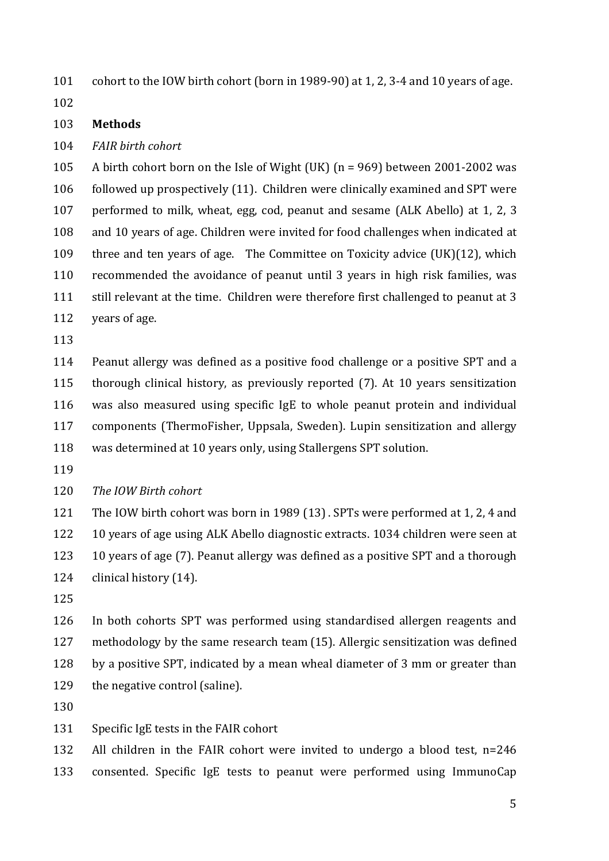cohort to the IOW birth cohort (born in 1989-90) at 1, 2, 3-4 and 10 years of age.

### **Methods**

*FAIR birth cohort*

 A birth cohort born on the Isle of Wight (UK) (n = 969) between 2001-2002 was followed up prospectively (11). Children were clinically examined and SPT were performed to milk, wheat, egg, cod, peanut and sesame (ALK Abello) at 1, 2, 3 and 10 years of age. Children were invited for food challenges when indicated at three and ten years of age. The Committee on Toxicity advice (UK)(12), which recommended the avoidance of peanut until 3 years in high risk families, was 111 still relevant at the time. Children were therefore first challenged to peanut at 3 years of age.

 Peanut allergy was defined as a positive food challenge or a positive SPT and a thorough clinical history, as previously reported (7). At 10 years sensitization was also measured using specific IgE to whole peanut protein and individual components (ThermoFisher, Uppsala, Sweden). Lupin sensitization and allergy was determined at 10 years only, using Stallergens SPT solution.

*The IOW Birth cohort*

 The IOW birth cohort was born in 1989 (13). SPTs were performed at 1, 2, 4 and 10 years of age using ALK Abello diagnostic extracts. 1034 children were seen at 10 years of age (7). Peanut allergy was defined as a positive SPT and a thorough clinical history (14).

 In both cohorts SPT was performed using standardised allergen reagents and methodology by the same research team (15). Allergic sensitization was defined by a positive SPT, indicated by a mean wheal diameter of 3 mm or greater than 129 the negative control (saline).

- 
- Specific IgE tests in the FAIR cohort

 All children in the FAIR cohort were invited to undergo a blood test, n=246 consented. Specific IgE tests to peanut were performed using ImmunoCap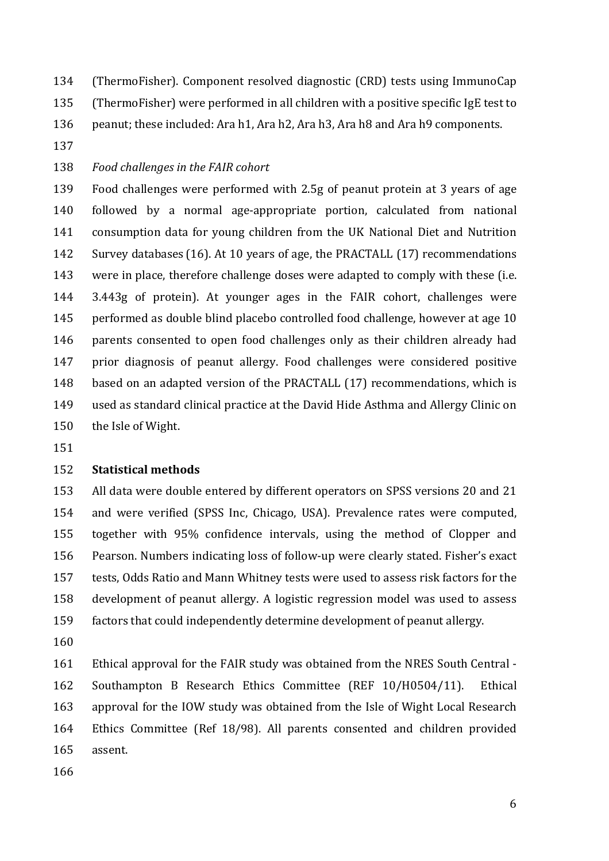(ThermoFisher). Component resolved diagnostic (CRD) tests using ImmunoCap

(ThermoFisher) were performed in all children with a positive specific IgE test to

peanut; these included: Ara h1, Ara h2, Ara h3, Ara h8 and Ara h9 components.

# *Food challenges in the FAIR cohort*

 Food challenges were performed with 2.5g of peanut protein at 3 years of age followed by a normal age-appropriate portion, calculated from national consumption data for young children from the UK National Diet and Nutrition Survey databases (16). At 10 years of age, the PRACTALL (17) recommendations were in place, therefore challenge doses were adapted to comply with these (i.e. 3.443g of protein). At younger ages in the FAIR cohort, challenges were performed as double blind placebo controlled food challenge, however at age 10 parents consented to open food challenges only as their children already had prior diagnosis of peanut allergy. Food challenges were considered positive based on an adapted version of the PRACTALL (17) recommendations, which is used as standard clinical practice at the David Hide Asthma and Allergy Clinic on the Isle of Wight.

# **Statistical methods**

 All data were double entered by different operators on SPSS versions 20 and 21 and were verified (SPSS Inc, Chicago, USA). Prevalence rates were computed, together with 95% confidence intervals, using the method of Clopper and Pearson. Numbers indicating loss of follow-up were clearly stated. Fisher's exact tests, Odds Ratio and Mann Whitney tests were used to assess risk factors for the development of peanut allergy. A logistic regression model was used to assess factors that could independently determine development of peanut allergy.

 Ethical approval for the FAIR study was obtained from the NRES South Central - Southampton B Research Ethics Committee (REF 10/H0504/11). Ethical approval for the IOW study was obtained from the Isle of Wight Local Research Ethics Committee (Ref 18/98). All parents consented and children provided assent.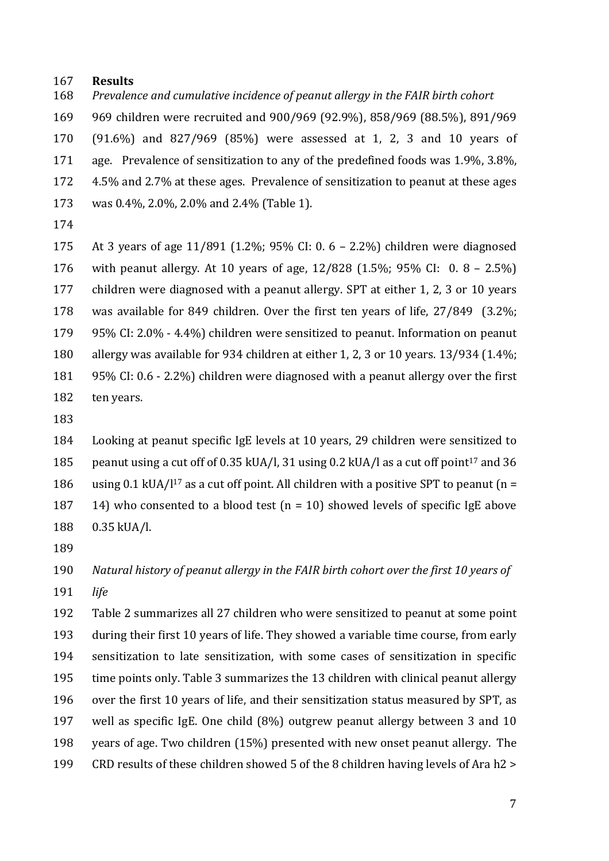#### **Results**

*Prevalence and cumulative incidence of peanut allergy in the FAIR birth cohort*

 969 children were recruited and 900/969 (92.9%), 858/969 (88.5%), 891/969 (91.6%) and 827/969 (85%) were assessed at 1, 2, 3 and 10 years of age. Prevalence of sensitization to any of the predefined foods was 1.9%, 3.8%, 4.5% and 2.7% at these ages. Prevalence of sensitization to peanut at these ages was 0.4%, 2.0%, 2.0% and 2.4% (Table 1).

 At 3 years of age 11/891 (1.2%; 95% CI: 0. 6 – 2.2%) children were diagnosed with peanut allergy. At 10 years of age, 12/828 (1.5%; 95% CI: 0. 8 – 2.5%) children were diagnosed with a peanut allergy. SPT at either 1, 2, 3 or 10 years was available for 849 children. Over the first ten years of life, 27/849 (3.2%; 95% CI: 2.0% - 4.4%) children were sensitized to peanut. Information on peanut allergy was available for 934 children at either 1, 2, 3 or 10 years. 13/934 (1.4%; 95% CI: 0.6 - 2.2%) children were diagnosed with a peanut allergy over the first ten years.

 Looking at peanut specific IgE levels at 10 years, 29 children were sensitized to 185 peanut using a cut off of 0.35 kUA/l, 31 using 0.2 kUA/l as a cut off point<sup>17</sup> and 36 186 using 0.1 kUA/l<sup>17</sup> as a cut off point. All children with a positive SPT to peanut (n = 187 14) who consented to a blood test  $(n = 10)$  showed levels of specific IgE above 0.35 kUA/l.

 *Natural history of peanut allergy in the FAIR birth cohort over the first 10 years of life*

 Table 2 summarizes all 27 children who were sensitized to peanut at some point during their first 10 years of life. They showed a variable time course, from early sensitization to late sensitization, with some cases of sensitization in specific time points only. Table 3 summarizes the 13 children with clinical peanut allergy over the first 10 years of life, and their sensitization status measured by SPT, as well as specific IgE. One child (8%) outgrew peanut allergy between 3 and 10 years of age. Two children (15%) presented with new onset peanut allergy. The CRD results of these children showed 5 of the 8 children having levels of Ara h2 >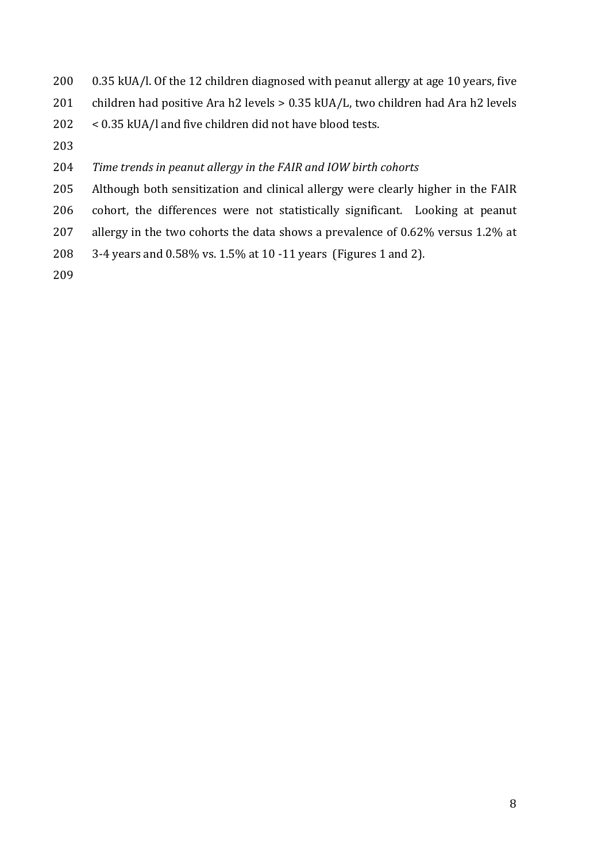- 0.35 kUA/l. Of the 12 children diagnosed with peanut allergy at age 10 years, five
- children had positive Ara h2 levels > 0.35 kUA/L, two children had Ara h2 levels
- < 0.35 kUA/l and five children did not have blood tests.
- 
- *Time trends in peanut allergy in the FAIR and IOW birth cohorts*
- Although both sensitization and clinical allergy were clearly higher in the FAIR
- cohort, the differences were not statistically significant. Looking at peanut
- allergy in the two cohorts the data shows a prevalence of 0.62% versus 1.2% at
- 3-4 years and 0.58% vs. 1.5% at 10 -11 years (Figures 1 and 2).
-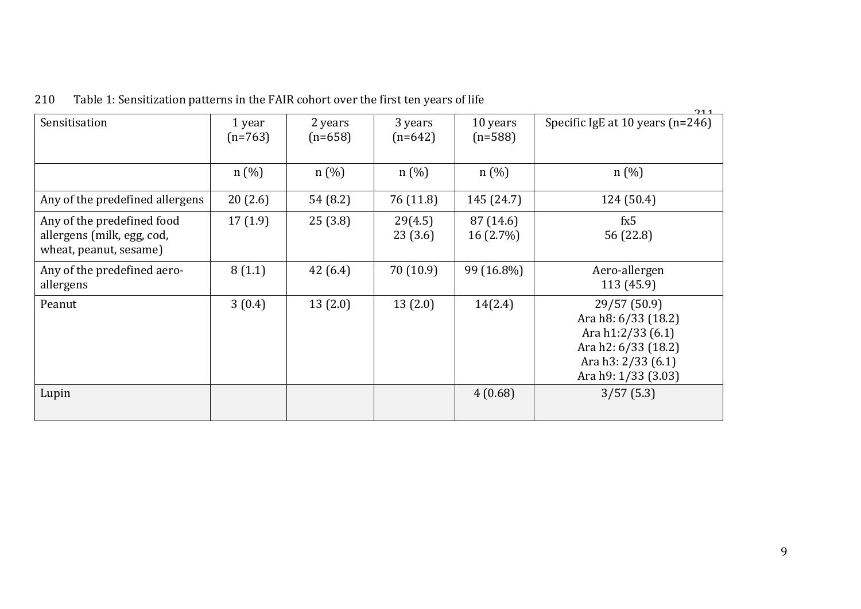|                                                                                    |                     |                      |                      |                          | 211                                                                                                                          |
|------------------------------------------------------------------------------------|---------------------|----------------------|----------------------|--------------------------|------------------------------------------------------------------------------------------------------------------------------|
| Sensitisation                                                                      | 1 year<br>$(n=763)$ | 2 years<br>$(n=658)$ | 3 years<br>$(n=642)$ | 10 years<br>$(n=588)$    | Specific IgE at 10 years $(n=246)$                                                                                           |
|                                                                                    | n(%)                | n(%)                 | n(%)                 | n(%)                     | $n(\%)$                                                                                                                      |
| Any of the predefined allergens                                                    | 20(2.6)             | 54 (8.2)             | 76 (11.8)            | 145 (24.7)               | 124 (50.4)                                                                                                                   |
| Any of the predefined food<br>allergens (milk, egg, cod,<br>wheat, peanut, sesame) | 17(1.9)             | 25(3.8)              | 29(4.5)<br>23(3.6)   | 87 (14.6)<br>$16(2.7\%)$ | fx5<br>56 (22.8)                                                                                                             |
| Any of the predefined aero-<br>allergens                                           | 8(1.1)              | 42(6.4)              | 70(10.9)             | 99 (16.8%)               | Aero-allergen<br>113(45.9)                                                                                                   |
| Peanut                                                                             | 3(0.4)              | 13(2.0)              | 13(2.0)              | 14(2.4)                  | 29/57 (50.9)<br>Ara h8: 6/33 (18.2)<br>Ara h1:2/33 (6.1)<br>Ara h2: 6/33 (18.2)<br>Ara h3: 2/33 (6.1)<br>Ara h9: 1/33 (3.03) |
| Lupin                                                                              |                     |                      |                      | 4(0.68)                  | 3/57(5.3)                                                                                                                    |

210 Table 1: Sensitization patterns in the FAIR cohort over the first ten years of life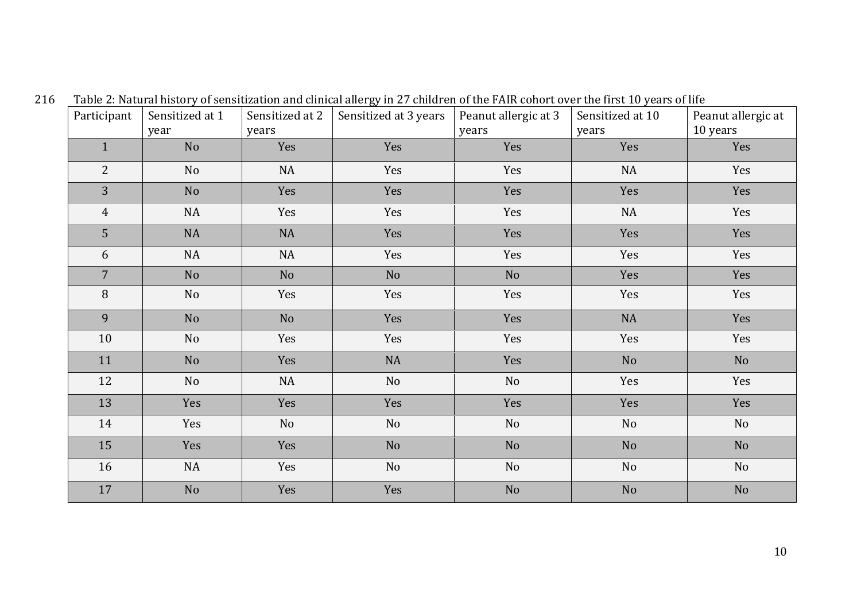| Participant    | Sensitized at 1<br>year | Sensitized at 2<br>years | Sensitized at 3 years | Peanut allergic at 3<br>years | Sensitized at 10<br>years | Peanut allergic at<br>10 years |
|----------------|-------------------------|--------------------------|-----------------------|-------------------------------|---------------------------|--------------------------------|
| $\mathbf{1}$   | No                      | Yes                      | Yes                   | Yes                           | Yes                       | Yes                            |
| $\overline{2}$ | N <sub>o</sub>          | NA                       | Yes                   | Yes                           | NA                        | Yes                            |
| 3              | No                      | Yes                      | Yes                   | Yes                           | Yes                       | Yes                            |
| $\overline{4}$ | NA                      | Yes                      | Yes                   | Yes                           | $\rm NA$                  | Yes                            |
| 5              | NA                      | NA                       | Yes                   | Yes                           | Yes                       | Yes                            |
| 6              | NA                      | $\rm NA$                 | Yes                   | Yes                           | Yes                       | Yes                            |
| $\overline{7}$ | No                      | No                       | No                    | No                            | Yes                       | Yes                            |
| $\, 8$         | No                      | Yes                      | Yes                   | Yes                           | Yes                       | Yes                            |
| 9              | N <sub>o</sub>          | No                       | Yes                   | Yes                           | NA                        | Yes                            |
| $10\,$         | No                      | Yes                      | Yes                   | Yes                           | Yes                       | Yes                            |
| 11             | N <sub>o</sub>          | Yes                      | NA                    | Yes                           | N <sub>o</sub>            | N <sub>o</sub>                 |
| 12             | No                      | $\rm NA$                 | No                    | No                            | Yes                       | Yes                            |
| 13             | Yes                     | Yes                      | Yes                   | Yes                           | Yes                       | Yes                            |
| 14             | Yes                     | No                       | No                    | No                            | No                        | No                             |
| 15             | Yes                     | Yes                      | No                    | No                            | N <sub>o</sub>            | N <sub>o</sub>                 |
| 16             | NA                      | Yes                      | No                    | No                            | No                        | No                             |
| 17             | No                      | Yes                      | Yes                   | No                            | N <sub>o</sub>            | No                             |

216 Table 2: Natural history of sensitization and clinical allergy in 27 children of the FAIR cohort over the first 10 years of life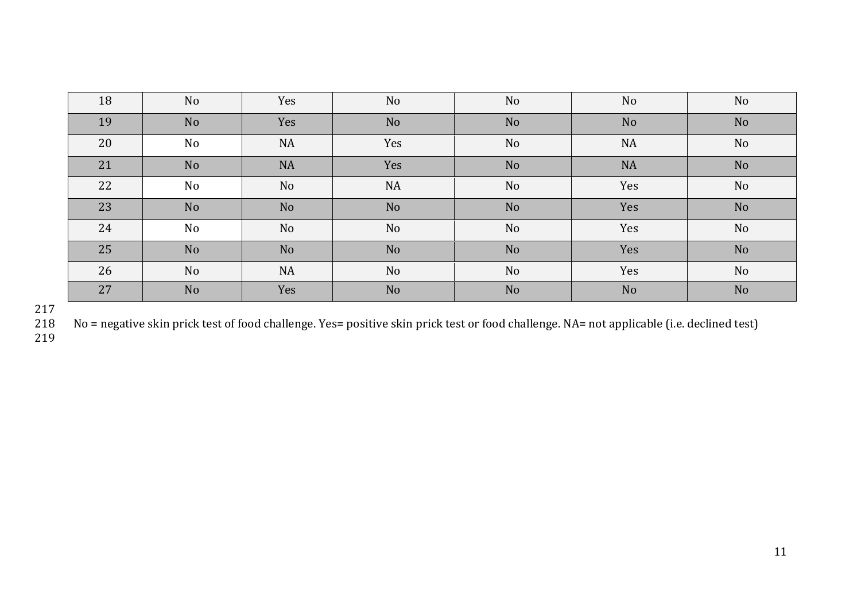| 18 | <b>No</b>      | Yes            | N <sub>o</sub> | <b>No</b>      | N <sub>o</sub> | N <sub>o</sub> |
|----|----------------|----------------|----------------|----------------|----------------|----------------|
| 19 | N <sub>o</sub> | Yes            | No             | No             | N <sub>o</sub> | N <sub>o</sub> |
| 20 | No             | <b>NA</b>      | Yes            | No             | <b>NA</b>      | N <sub>o</sub> |
| 21 | N <sub>o</sub> | <b>NA</b>      | Yes            | N <sub>o</sub> | <b>NA</b>      | N <sub>o</sub> |
| 22 | No             | No             | <b>NA</b>      | <b>No</b>      | Yes            | No             |
| 23 | N <sub>o</sub> | N <sub>o</sub> | N <sub>o</sub> | N <sub>o</sub> | Yes            | N <sub>o</sub> |
| 24 | No             | No             | No             | <b>No</b>      | Yes            | No             |
| 25 | N <sub>o</sub> | No             | No             | N <sub>o</sub> | Yes            | N <sub>o</sub> |
| 26 | <b>No</b>      | <b>NA</b>      | No             | N <sub>o</sub> | Yes            | No             |
| 27 | No             | Yes            | No             | N <sub>o</sub> | N <sub>o</sub> | No             |

No = negative skin prick test of food challenge. Yes= positive skin prick test or food challenge. NA= not applicable (i.e. declined test)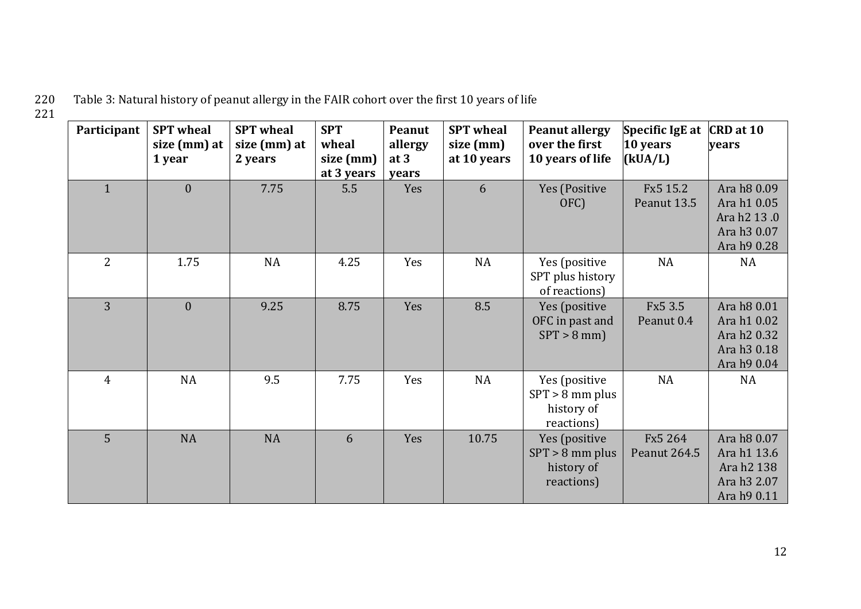Table 3: Natural history of peanut allergy in the FAIR cohort over the first 10 years of life 221

| Participant    | <b>SPT</b> wheal<br>size (mm) at<br>1 year | <b>SPT</b> wheal<br>size (mm) at<br>2 years | <b>SPT</b><br>wheal<br>size (mm)<br>at 3 years | Peanut<br>allergy<br>at 3<br>years | <b>SPT</b> wheal<br>size (mm)<br>at 10 years | <b>Peanut allergy</b><br>over the first<br>10 years of life    | Specific IgE at<br>$10$ years<br>(kUA/L) | CRD at 10<br>vears                                                                  |
|----------------|--------------------------------------------|---------------------------------------------|------------------------------------------------|------------------------------------|----------------------------------------------|----------------------------------------------------------------|------------------------------------------|-------------------------------------------------------------------------------------|
| $\mathbf{1}$   | $\mathbf{0}$                               | 7.75                                        | 5.5                                            | Yes                                | 6                                            | Yes (Positive<br>OFC)                                          | Fx5 15.2<br>Peanut 13.5                  | Ara h8 0.09<br>Ara h1 0.05<br>Ara h2 13.0<br>Ara h3 0.07<br>Ara h9 0.28             |
| $\overline{2}$ | 1.75                                       | NA                                          | 4.25                                           | Yes                                | NA                                           | Yes (positive<br>SPT plus history<br>of reactions)             | NA                                       | <b>NA</b>                                                                           |
| 3              | $\overline{0}$                             | 9.25                                        | 8.75                                           | Yes                                | 8.5                                          | Yes (positive<br>OFC in past and<br>$SPT > 8$ mm)              | Fx5 3.5<br>Peanut 0.4                    | Ara h8 0.01<br>Ara h1 0.02<br>Ara h2 0.32<br>Ara h <sub>3</sub> 0.18<br>Ara h9 0.04 |
| $\overline{4}$ | <b>NA</b>                                  | 9.5                                         | 7.75                                           | Yes                                | NA                                           | Yes (positive<br>$SPT > 8$ mm plus<br>history of<br>reactions) | <b>NA</b>                                | <b>NA</b>                                                                           |
| $\overline{5}$ | <b>NA</b>                                  | <b>NA</b>                                   | 6                                              | Yes                                | 10.75                                        | Yes (positive<br>$SPT > 8$ mm plus<br>history of<br>reactions) | Fx5 264<br>Peanut 264.5                  | Ara h8 0.07<br>Ara h1 13.6<br>Ara h2 138<br>Ara h3 2.07<br>Ara h9 0.11              |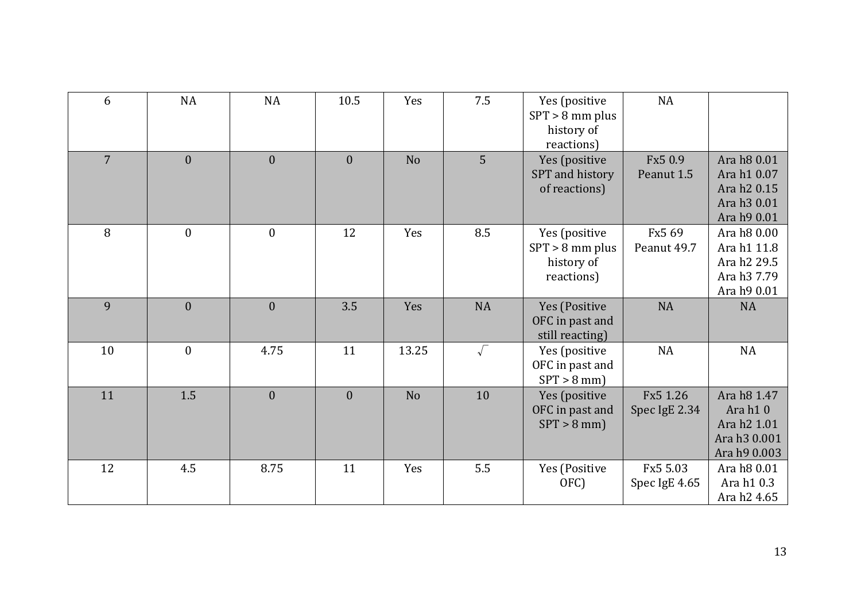| 6              | NA           | NA               | 10.5             | Yes            | 7.5        | Yes (positive<br>$SPT > 8$ mm plus<br>history of<br>reactions) | NA                        |                                                                                   |
|----------------|--------------|------------------|------------------|----------------|------------|----------------------------------------------------------------|---------------------------|-----------------------------------------------------------------------------------|
| $\overline{7}$ | $\theta$     | $\overline{0}$   | $\overline{0}$   | N <sub>o</sub> | 5          | Yes (positive<br>SPT and history<br>of reactions)              | Fx5 0.9<br>Peanut 1.5     | Ara h8 0.01<br>Ara h1 0.07<br>Ara h2 0.15<br>Ara h3 0.01<br>Ara h9 0.01           |
| 8              | $\mathbf{0}$ | $\boldsymbol{0}$ | 12               | Yes            | 8.5        | Yes (positive<br>$SPT > 8$ mm plus<br>history of<br>reactions) | Fx5 69<br>Peanut 49.7     | Ara h8 0.00<br>Ara h1 11.8<br>Ara h2 29.5<br>Ara h3 7.79<br>Ara h9 0.01           |
| 9              | $\theta$     | $\boldsymbol{0}$ | 3.5              | Yes            | <b>NA</b>  | Yes (Positive<br>OFC in past and<br>still reacting)            | <b>NA</b>                 | <b>NA</b>                                                                         |
| 10             | $\mathbf{0}$ | 4.75             | 11               | 13.25          | $\sqrt{ }$ | Yes (positive<br>OFC in past and<br>$SPT > 8$ mm)              | <b>NA</b>                 | NA                                                                                |
| 11             | 1.5          | $\boldsymbol{0}$ | $\boldsymbol{0}$ | N <sub>o</sub> | 10         | Yes (positive<br>OFC in past and<br>$SPT > 8$ mm)              | Fx5 1.26<br>Spec IgE 2.34 | Ara h8 1.47<br>Ara h10<br>Ara h <sub>2</sub> 1.01<br>Ara h3 0.001<br>Ara h9 0.003 |
| 12             | 4.5          | 8.75             | 11               | Yes            | 5.5        | Yes (Positive<br>OFC)                                          | Fx5 5.03<br>Spec IgE 4.65 | Ara h8 0.01<br>Ara h1 0.3<br>Ara h2 4.65                                          |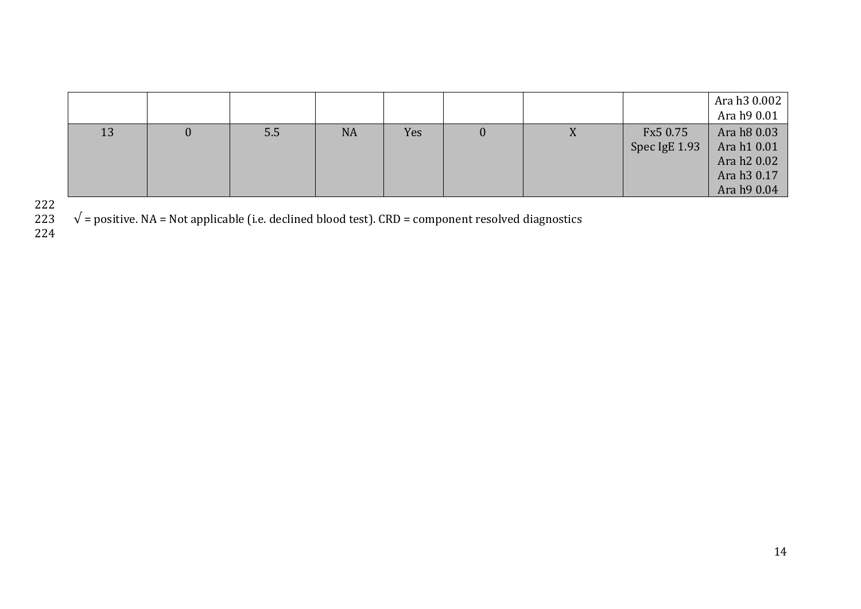|    |     |           |     |   |           |               | Ara h3 0.002 |
|----|-----|-----------|-----|---|-----------|---------------|--------------|
|    |     |           |     |   |           |               | Ara h9 0.01  |
| 13 | 5.5 | <b>NA</b> | Yes | U | $\Lambda$ | Fx5 0.75      | Ara h8 0.03  |
|    |     |           |     |   |           | Spec IgE 1.93 | Ara h1 0.01  |
|    |     |           |     |   |           |               | Ara h 20.02  |
|    |     |           |     |   |           |               | Ara h 30.17  |
|    |     |           |     |   |           |               | Ara h9 0.04  |

222

 $\sqrt{\ }$  = positive. NA = Not applicable (i.e. declined blood test). CRD = component resolved diagnostics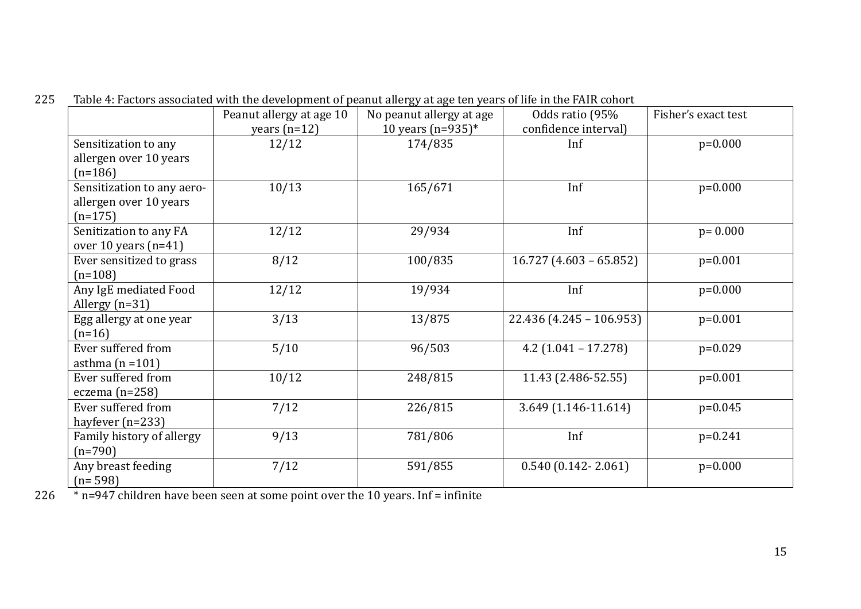| 225 Table 4: Factors associated with the development of peanut allergy at age ten years of life in the FAIR cohort |  |  |  |
|--------------------------------------------------------------------------------------------------------------------|--|--|--|

|                                                                   | Peanut allergy at age 10 | No peanut allergy at age | Odds ratio (95%            | Fisher's exact test |
|-------------------------------------------------------------------|--------------------------|--------------------------|----------------------------|---------------------|
|                                                                   | years $(n=12)$           | 10 years $(n=935)^*$     | confidence interval)       |                     |
| Sensitization to any<br>allergen over 10 years<br>$(n=186)$       | 12/12                    | 174/835                  | Inf                        | $p=0.000$           |
| Sensitization to any aero-<br>allergen over 10 years<br>$(n=175)$ | 10/13                    | 165/671                  | Inf                        | $p=0.000$           |
| Senitization to any FA<br>over 10 years $(n=41)$                  | 12/12                    | 29/934                   | Inf                        | $p = 0.000$         |
| Ever sensitized to grass<br>$(n=108)$                             | 8/12                     | 100/835                  | $16.727(4.603 - 65.852)$   | $p=0.001$           |
| Any IgE mediated Food<br>Allergy $(n=31)$                         | 12/12                    | 19/934                   | Inf                        | $p=0.000$           |
| Egg allergy at one year<br>$(n=16)$                               | 3/13                     | 13/875                   | $22.436$ (4.245 - 106.953) | $p=0.001$           |
| Ever suffered from<br>asthma $(n=101)$                            | 5/10                     | 96/503                   | $4.2$ (1.041 – 17.278)     | $p=0.029$           |
| Ever suffered from<br>eczema $(n=258)$                            | 10/12                    | 248/815                  | 11.43 (2.486-52.55)        | $p=0.001$           |
| Ever suffered from<br>hayfever $(n=233)$                          | 7/12                     | 226/815                  | 3.649 (1.146-11.614)       | $p=0.045$           |
| Family history of allergy<br>$(n=790)$                            | 9/13                     | 781/806                  | Inf                        | $p=0.241$           |
| Any breast feeding<br>$(n=598)$                                   | 7/12                     | 591/855                  | $0.540(0.142 - 2.061)$     | $p=0.000$           |

226 \* n=947 children have been seen at some point over the 10 years. Inf = infinite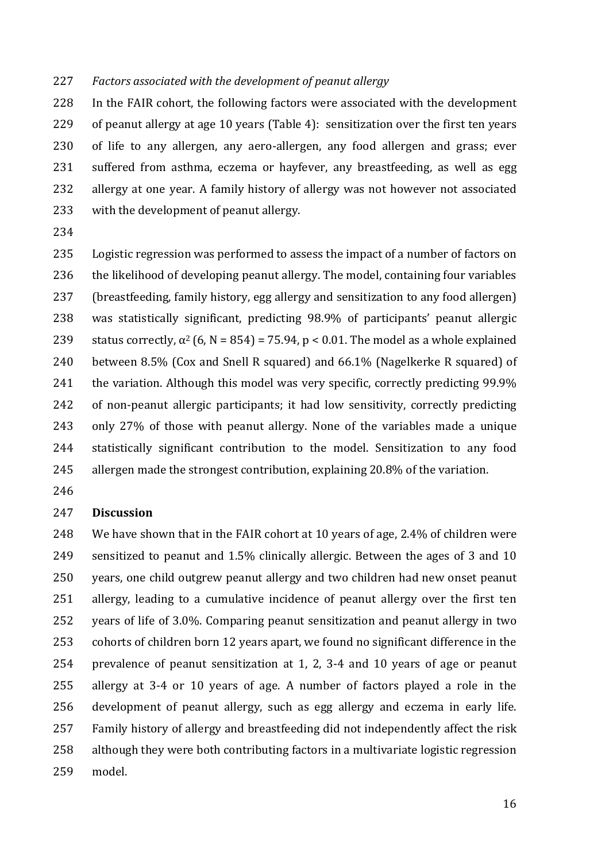#### *Factors associated with the development of peanut allergy*

 In the FAIR cohort, the following factors were associated with the development of peanut allergy at age 10 years (Table 4): sensitization over the first ten years of life to any allergen, any aero-allergen, any food allergen and grass; ever suffered from asthma, eczema or hayfever, any breastfeeding, as well as egg allergy at one year. A family history of allergy was not however not associated with the development of peanut allergy.

 Logistic regression was performed to assess the impact of a number of factors on the likelihood of developing peanut allergy. The model, containing four variables (breastfeeding, family history, egg allergy and sensitization to any food allergen) was statistically significant, predicting 98.9% of participants' peanut allergic 239 status correctly,  $\alpha^2$  (6, N = 854) = 75.94, p < 0.01. The model as a whole explained between 8.5% (Cox and Snell R squared) and 66.1% (Nagelkerke R squared) of 241 the variation. Although this model was very specific, correctly predicting 99.9% of non-peanut allergic participants; it had low sensitivity, correctly predicting only 27% of those with peanut allergy. None of the variables made a unique statistically significant contribution to the model. Sensitization to any food allergen made the strongest contribution, explaining 20.8% of the variation.

### **Discussion**

 We have shown that in the FAIR cohort at 10 years of age, 2.4% of children were sensitized to peanut and 1.5% clinically allergic. Between the ages of 3 and 10 years, one child outgrew peanut allergy and two children had new onset peanut allergy, leading to a cumulative incidence of peanut allergy over the first ten years of life of 3.0%. Comparing peanut sensitization and peanut allergy in two cohorts of children born 12 years apart, we found no significant difference in the prevalence of peanut sensitization at 1, 2, 3-4 and 10 years of age or peanut allergy at 3-4 or 10 years of age. A number of factors played a role in the development of peanut allergy, such as egg allergy and eczema in early life. Family history of allergy and breastfeeding did not independently affect the risk although they were both contributing factors in a multivariate logistic regression model.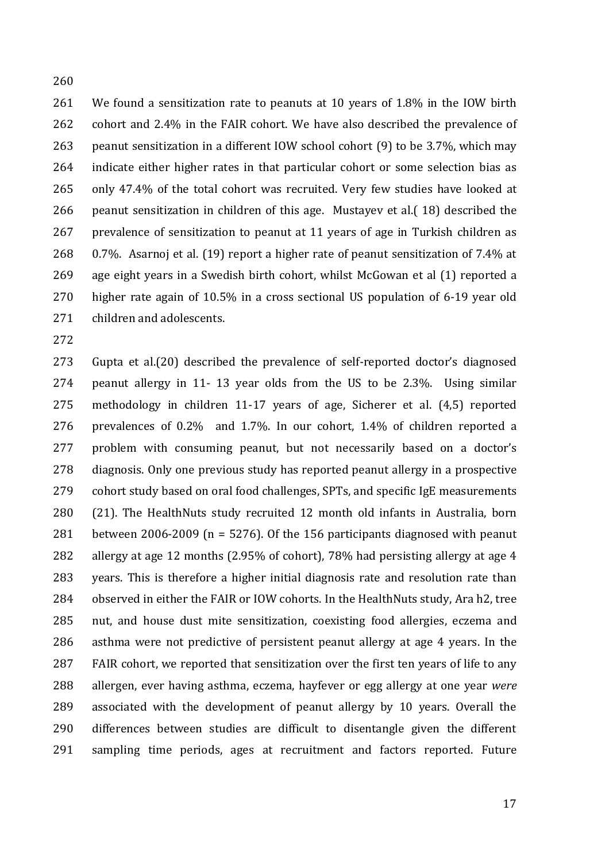We found a sensitization rate to peanuts at 10 years of 1.8% in the IOW birth cohort and 2.4% in the FAIR cohort. We have also described the prevalence of peanut sensitization in a different IOW school cohort (9) to be 3.7%, which may indicate either higher rates in that particular cohort or some selection bias as only 47.4% of the total cohort was recruited. Very few studies have looked at peanut sensitization in children of this age. Mustayev et al.( 18) described the prevalence of sensitization to peanut at 11 years of age in Turkish children as 0.7%. Asarnoj et al. (19) report a higher rate of peanut sensitization of 7.4% at age eight years in a Swedish birth cohort, whilst McGowan et al (1) reported a higher rate again of 10.5% in a cross sectional US population of 6-19 year old children and adolescents.

 Gupta et al.(20) described the prevalence of self-reported doctor's diagnosed peanut allergy in 11- 13 year olds from the US to be 2.3%. Using similar methodology in children 11-17 years of age, Sicherer et al. (4,5) reported prevalences of 0.2% and 1.7%. In our cohort, 1.4% of children reported a problem with consuming peanut, but not necessarily based on a doctor's diagnosis. Only one previous study has reported peanut allergy in a prospective cohort study based on oral food challenges, SPTs, and specific IgE measurements (21). The HealthNuts study recruited 12 month old infants in Australia, born between 2006-2009 (n = 5276). Of the 156 participants diagnosed with peanut allergy at age 12 months (2.95% of cohort), 78% had persisting allergy at age 4 years. This is therefore a higher initial diagnosis rate and resolution rate than observed in either the FAIR or IOW cohorts. In the HealthNuts study, Ara h2, tree nut, and house dust mite sensitization, coexisting food allergies, eczema and asthma were not predictive of persistent peanut allergy at age 4 years. In the FAIR cohort, we reported that sensitization over the first ten years of life to any allergen, ever having asthma, eczema, hayfever or egg allergy at one year *were* associated with the development of peanut allergy by 10 years. Overall the differences between studies are difficult to disentangle given the different sampling time periods, ages at recruitment and factors reported. Future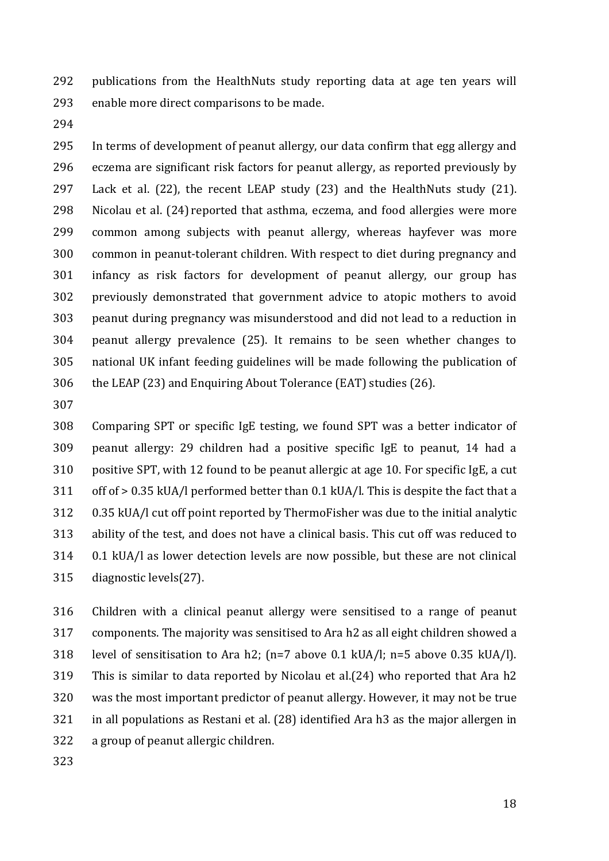publications from the HealthNuts study reporting data at age ten years will enable more direct comparisons to be made.

 In terms of development of peanut allergy, our data confirm that egg allergy and eczema are significant risk factors for peanut allergy, as reported previously by Lack et al. (22), the recent LEAP study (23) and the HealthNuts study (21). Nicolau et al. (24) reported that asthma, eczema, and food allergies were more common among subjects with peanut allergy, whereas hayfever was more common in peanut-tolerant children. With respect to diet during pregnancy and infancy as risk factors for development of peanut allergy, our group has previously demonstrated that government advice to atopic mothers to avoid peanut during pregnancy was misunderstood and did not lead to a reduction in peanut allergy prevalence (25). It remains to be seen whether changes to national UK infant feeding guidelines will be made following the publication of the LEAP (23) and Enquiring About Tolerance (EAT) studies (26).

 Comparing SPT or specific IgE testing, we found SPT was a better indicator of peanut allergy: 29 children had a positive specific IgE to peanut, 14 had a positive SPT, with 12 found to be peanut allergic at age 10. For specific IgE, a cut off of > 0.35 kUA/l performed better than 0.1 kUA/l. This is despite the fact that a 0.35 kUA/l cut off point reported by ThermoFisher was due to the initial analytic ability of the test, and does not have a clinical basis. This cut off was reduced to 0.1 kUA/l as lower detection levels are now possible, but these are not clinical diagnostic levels(27).

 Children with a clinical peanut allergy were sensitised to a range of peanut components. The majority was sensitised to Ara h2 as all eight children showed a level of sensitisation to Ara h2; (n=7 above 0.1 kUA/l; n=5 above 0.35 kUA/l). This is similar to data reported by Nicolau et al.(24) who reported that Ara h2 was the most important predictor of peanut allergy. However, it may not be true in all populations as Restani et al. (28) identified Ara h3 as the major allergen in a group of peanut allergic children.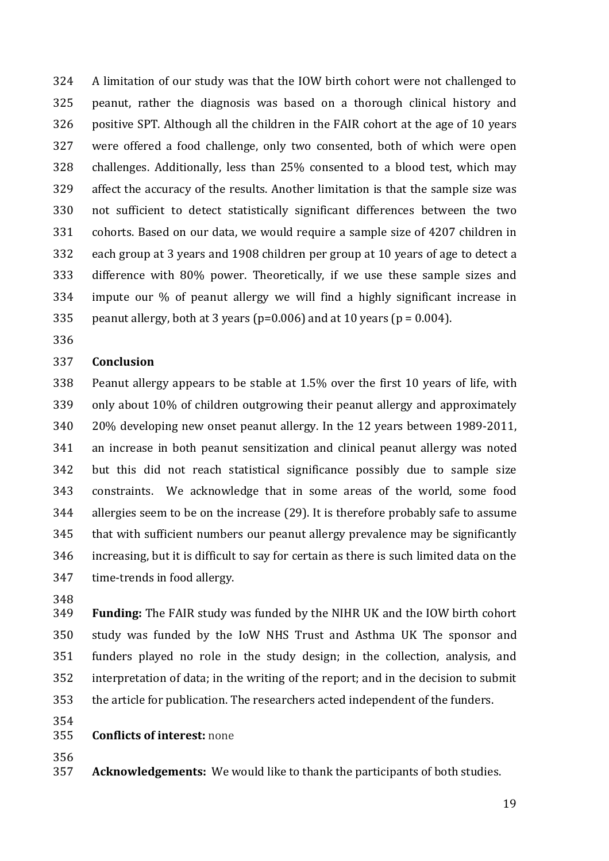A limitation of our study was that the IOW birth cohort were not challenged to peanut, rather the diagnosis was based on a thorough clinical history and positive SPT. Although all the children in the FAIR cohort at the age of 10 years were offered a food challenge, only two consented, both of which were open challenges. Additionally, less than 25% consented to a blood test, which may affect the accuracy of the results. Another limitation is that the sample size was not sufficient to detect statistically significant differences between the two cohorts. Based on our data, we would require a sample size of 4207 children in each group at 3 years and 1908 children per group at 10 years of age to detect a difference with 80% power. Theoretically, if we use these sample sizes and impute our % of peanut allergy we will find a highly significant increase in 335 peanut allergy, both at 3 years ( $p=0.006$ ) and at 10 years ( $p=0.004$ ).

#### **Conclusion**

 Peanut allergy appears to be stable at 1.5% over the first 10 years of life, with only about 10% of children outgrowing their peanut allergy and approximately 20% developing new onset peanut allergy. In the 12 years between 1989-2011, an increase in both peanut sensitization and clinical peanut allergy was noted but this did not reach statistical significance possibly due to sample size constraints. We acknowledge that in some areas of the world, some food allergies seem to be on the increase (29). It is therefore probably safe to assume that with sufficient numbers our peanut allergy prevalence may be significantly increasing, but it is difficult to say for certain as there is such limited data on the time-trends in food allergy.

 **Funding:** The FAIR study was funded by the NIHR UK and the IOW birth cohort study was funded by the IoW NHS Trust and Asthma UK The sponsor and funders played no role in the study design; in the collection, analysis, and interpretation of data; in the writing of the report; and in the decision to submit the article for publication. The researchers acted independent of the funders.

### **Conflicts of interest:** none

**Acknowledgements:** We would like to thank the participants of both studies.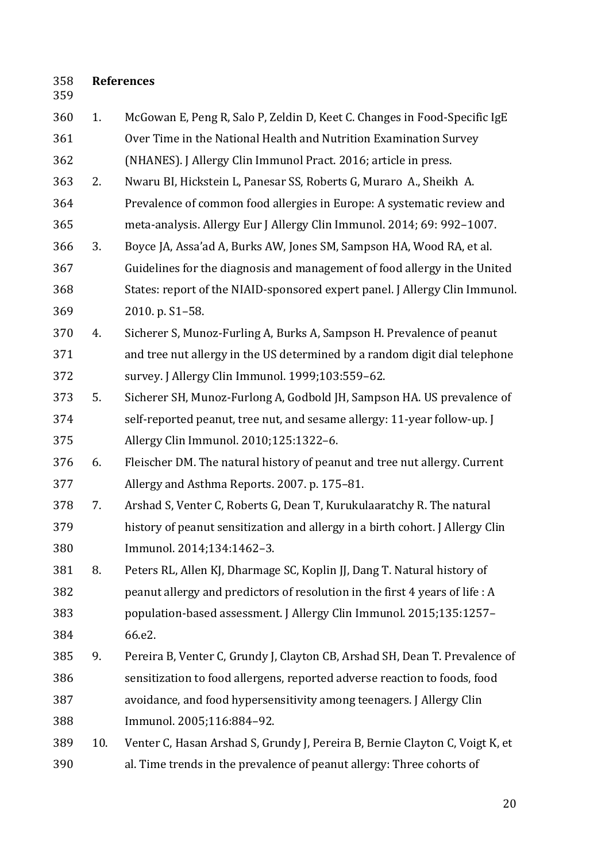# **References**

| 360 | 1.  | McGowan E, Peng R, Salo P, Zeldin D, Keet C. Changes in Food-Specific IgE     |
|-----|-----|-------------------------------------------------------------------------------|
| 361 |     | Over Time in the National Health and Nutrition Examination Survey             |
| 362 |     | (NHANES). J Allergy Clin Immunol Pract. 2016; article in press.               |
| 363 | 2.  | Nwaru BI, Hickstein L, Panesar SS, Roberts G, Muraro A., Sheikh A.            |
| 364 |     | Prevalence of common food allergies in Europe: A systematic review and        |
| 365 |     | meta-analysis. Allergy Eur J Allergy Clin Immunol. 2014; 69: 992-1007.        |
| 366 | 3.  | Boyce JA, Assa'ad A, Burks AW, Jones SM, Sampson HA, Wood RA, et al.          |
| 367 |     | Guidelines for the diagnosis and management of food allergy in the United     |
| 368 |     | States: report of the NIAID-sponsored expert panel. J Allergy Clin Immunol.   |
| 369 |     | 2010. p. S1-58.                                                               |
| 370 | 4.  | Sicherer S, Munoz-Furling A, Burks A, Sampson H. Prevalence of peanut         |
| 371 |     | and tree nut allergy in the US determined by a random digit dial telephone    |
| 372 |     | survey. J Allergy Clin Immunol. 1999;103:559-62.                              |
| 373 | 5.  | Sicherer SH, Munoz-Furlong A, Godbold JH, Sampson HA. US prevalence of        |
| 374 |     | self-reported peanut, tree nut, and sesame allergy: 11-year follow-up. J      |
| 375 |     | Allergy Clin Immunol. 2010;125:1322-6.                                        |
| 376 | 6.  | Fleischer DM. The natural history of peanut and tree nut allergy. Current     |
| 377 |     | Allergy and Asthma Reports. 2007. p. 175-81.                                  |
| 378 | 7.  | Arshad S, Venter C, Roberts G, Dean T, Kurukulaaratchy R. The natural         |
| 379 |     | history of peanut sensitization and allergy in a birth cohort. J Allergy Clin |
| 380 |     | Immunol. 2014;134:1462-3.                                                     |
| 381 | 8.  | Peters RL, Allen KJ, Dharmage SC, Koplin JJ, Dang T. Natural history of       |
| 382 |     | peanut allergy and predictors of resolution in the first 4 years of life : A  |
| 383 |     | population-based assessment. J Allergy Clin Immunol. 2015;135:1257-           |
| 384 |     | 66.e2.                                                                        |
| 385 | 9.  | Pereira B, Venter C, Grundy J, Clayton CB, Arshad SH, Dean T. Prevalence of   |
| 386 |     | sensitization to food allergens, reported adverse reaction to foods, food     |
| 387 |     | avoidance, and food hypersensitivity among teenagers. J Allergy Clin          |
| 388 |     | Immunol. 2005;116:884-92.                                                     |
| 389 | 10. | Venter C, Hasan Arshad S, Grundy J, Pereira B, Bernie Clayton C, Voigt K, et  |
| 390 |     | al. Time trends in the prevalence of peanut allergy: Three cohorts of         |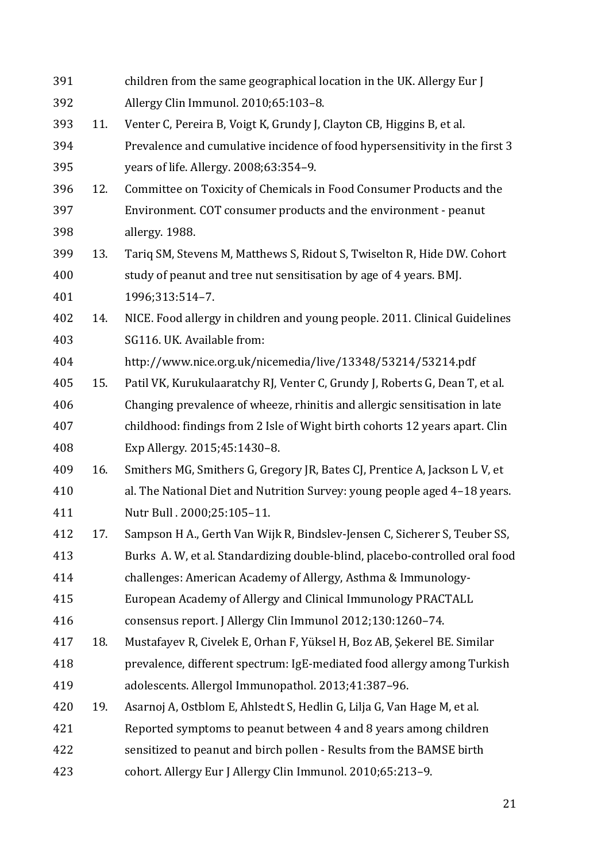| 391 |     | children from the same geographical location in the UK. Allergy Eur J       |
|-----|-----|-----------------------------------------------------------------------------|
| 392 |     | Allergy Clin Immunol. 2010;65:103-8.                                        |
| 393 | 11. | Venter C, Pereira B, Voigt K, Grundy J, Clayton CB, Higgins B, et al.       |
| 394 |     | Prevalence and cumulative incidence of food hypersensitivity in the first 3 |
| 395 |     | years of life. Allergy. 2008;63:354-9.                                      |
| 396 | 12. | Committee on Toxicity of Chemicals in Food Consumer Products and the        |
| 397 |     | Environment. COT consumer products and the environment - peanut             |
| 398 |     | allergy. 1988.                                                              |
| 399 | 13. | Tariq SM, Stevens M, Matthews S, Ridout S, Twiselton R, Hide DW. Cohort     |
| 400 |     | study of peanut and tree nut sensitisation by age of 4 years. BMJ.          |
| 401 |     | 1996;313:514-7.                                                             |
| 402 | 14. | NICE. Food allergy in children and young people. 2011. Clinical Guidelines  |
| 403 |     | SG116. UK. Available from:                                                  |
| 404 |     | http://www.nice.org.uk/nicemedia/live/13348/53214/53214.pdf                 |
| 405 | 15. | Patil VK, Kurukulaaratchy RJ, Venter C, Grundy J, Roberts G, Dean T, et al. |
| 406 |     | Changing prevalence of wheeze, rhinitis and allergic sensitisation in late  |
| 407 |     | childhood: findings from 2 Isle of Wight birth cohorts 12 years apart. Clin |
| 408 |     | Exp Allergy. 2015;45:1430-8.                                                |
| 409 | 16. | Smithers MG, Smithers G, Gregory JR, Bates CJ, Prentice A, Jackson L V, et  |
| 410 |     | al. The National Diet and Nutrition Survey: young people aged 4-18 years.   |
| 411 |     | Nutr Bull . 2000;25:105-11.                                                 |
| 412 | 17. | Sampson H A., Gerth Van Wijk R, Bindslev-Jensen C, Sicherer S, Teuber SS,   |
| 413 |     | Burks A. W, et al. Standardizing double-blind, placebo-controlled oral food |
| 414 |     | challenges: American Academy of Allergy, Asthma & Immunology-               |
| 415 |     | European Academy of Allergy and Clinical Immunology PRACTALL                |
| 416 |     | consensus report. J Allergy Clin Immunol 2012;130:1260-74.                  |
| 417 | 18. | Mustafayev R, Civelek E, Orhan F, Yüksel H, Boz AB, Şekerel BE. Similar     |
| 418 |     | prevalence, different spectrum: IgE-mediated food allergy among Turkish     |
| 419 |     | adolescents. Allergol Immunopathol. 2013;41:387-96.                         |
| 420 | 19. | Asarnoj A, Ostblom E, Ahlstedt S, Hedlin G, Lilja G, Van Hage M, et al.     |
| 421 |     | Reported symptoms to peanut between 4 and 8 years among children            |
| 422 |     | sensitized to peanut and birch pollen - Results from the BAMSE birth        |
| 423 |     | cohort. Allergy Eur J Allergy Clin Immunol. 2010;65:213-9.                  |